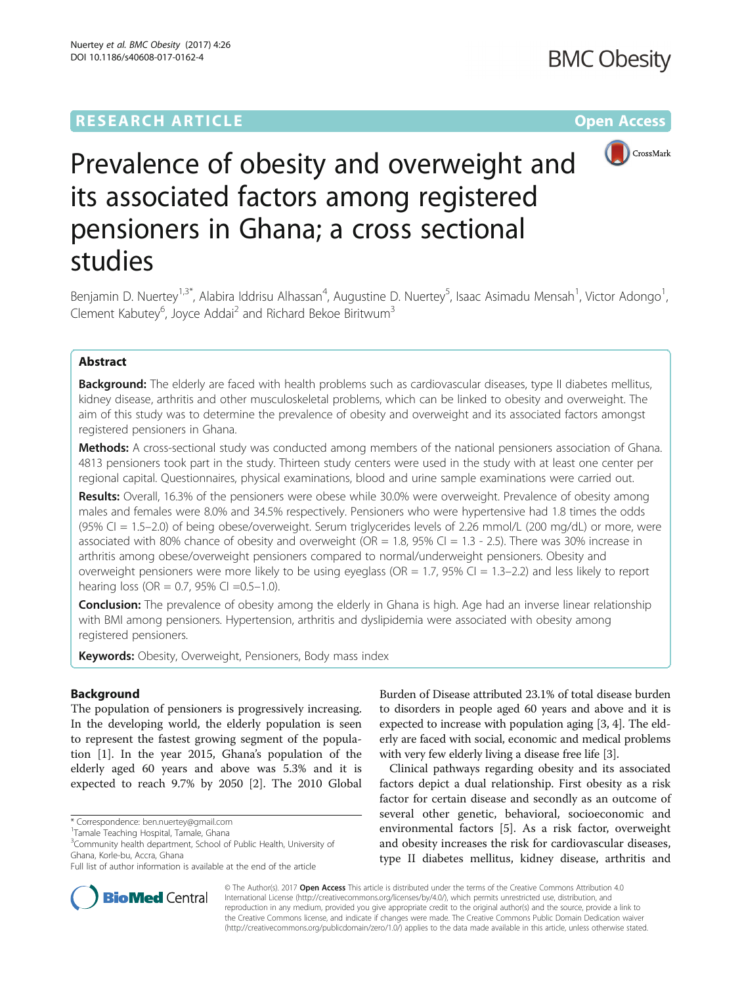# **RESEARCH ARTICLE Example 2014 12:30 The Community Community Community Community Community Community Community**



# Prevalence of obesity and overweight and its associated factors among registered pensioners in Ghana; a cross sectional studies

Benjamin D. Nuertey<sup>1,3\*</sup>, Alabira Iddrisu Alhassan<sup>4</sup>, Augustine D. Nuertey<sup>5</sup>, Isaac Asimadu Mensah<sup>1</sup>, Victor Adongo<sup>1</sup> , Clement Kabutey<sup>6</sup>, Joyce Addai<sup>2</sup> and Richard Bekoe Biritwum<sup>3</sup>

# Abstract

**Background:** The elderly are faced with health problems such as cardiovascular diseases, type II diabetes mellitus, kidney disease, arthritis and other musculoskeletal problems, which can be linked to obesity and overweight. The aim of this study was to determine the prevalence of obesity and overweight and its associated factors amongst registered pensioners in Ghana.

Methods: A cross-sectional study was conducted among members of the national pensioners association of Ghana. 4813 pensioners took part in the study. Thirteen study centers were used in the study with at least one center per regional capital. Questionnaires, physical examinations, blood and urine sample examinations were carried out.

Results: Overall, 16.3% of the pensioners were obese while 30.0% were overweight. Prevalence of obesity among males and females were 8.0% and 34.5% respectively. Pensioners who were hypertensive had 1.8 times the odds (95% CI = 1.5–2.0) of being obese/overweight. Serum triglycerides levels of 2.26 mmol/L (200 mg/dL) or more, were associated with 80% chance of obesity and overweight (OR = 1.8, 95% CI = 1.3 - 2.5). There was 30% increase in arthritis among obese/overweight pensioners compared to normal/underweight pensioners. Obesity and overweight pensioners were more likely to be using eyeglass (OR =  $1.7$ , 95% Cl =  $1.3-2.2$ ) and less likely to report hearing loss (OR = 0.7, 95% CI =  $0.5-1.0$ ).

Conclusion: The prevalence of obesity among the elderly in Ghana is high. Age had an inverse linear relationship with BMI among pensioners. Hypertension, arthritis and dyslipidemia were associated with obesity among registered pensioners.

**Keywords:** Obesity, Overweight, Pensioners, Body mass index

# Background

The population of pensioners is progressively increasing. In the developing world, the elderly population is seen to represent the fastest growing segment of the population [\[1](#page-11-0)]. In the year 2015, Ghana's population of the elderly aged 60 years and above was 5.3% and it is expected to reach 9.7% by 2050 [\[2](#page-11-0)]. The 2010 Global



Clinical pathways regarding obesity and its associated factors depict a dual relationship. First obesity as a risk factor for certain disease and secondly as an outcome of several other genetic, behavioral, socioeconomic and environmental factors [\[5](#page-11-0)]. As a risk factor, overweight and obesity increases the risk for cardiovascular diseases, type II diabetes mellitus, kidney disease, arthritis and



© The Author(s). 2017 **Open Access** This article is distributed under the terms of the Creative Commons Attribution 4.0 International License [\(http://creativecommons.org/licenses/by/4.0/](http://creativecommons.org/licenses/by/4.0/)), which permits unrestricted use, distribution, and reproduction in any medium, provided you give appropriate credit to the original author(s) and the source, provide a link to the Creative Commons license, and indicate if changes were made. The Creative Commons Public Domain Dedication waiver [\(http://creativecommons.org/publicdomain/zero/1.0/](http://creativecommons.org/publicdomain/zero/1.0/)) applies to the data made available in this article, unless otherwise stated.

<sup>\*</sup> Correspondence: [ben.nuertey@gmail.com](mailto:ben.nuertey@gmail.com) <sup>1</sup>

<sup>&</sup>lt;sup>1</sup>Tamale Teaching Hospital, Tamale, Ghana

<sup>&</sup>lt;sup>3</sup> Community health department, School of Public Health, University of Ghana, Korle-bu, Accra, Ghana

Full list of author information is available at the end of the article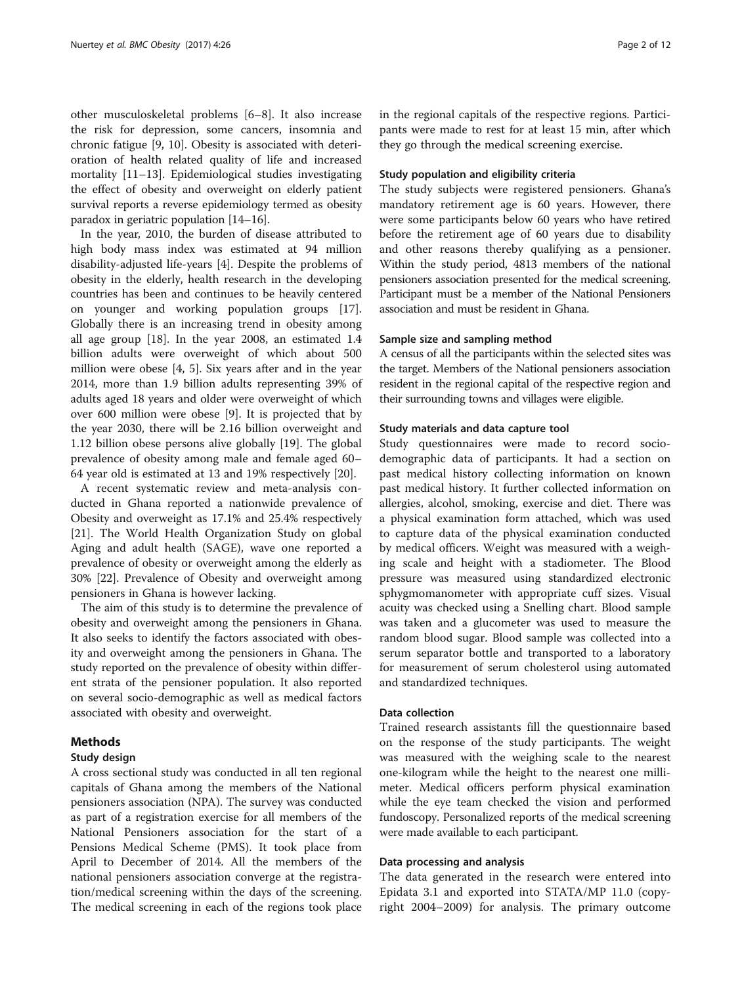other musculoskeletal problems [\[6](#page-11-0)–[8](#page-11-0)]. It also increase the risk for depression, some cancers, insomnia and chronic fatigue [[9, 10\]](#page-11-0). Obesity is associated with deterioration of health related quality of life and increased mortality [[11](#page-11-0)–[13](#page-11-0)]. Epidemiological studies investigating the effect of obesity and overweight on elderly patient survival reports a reverse epidemiology termed as obesity paradox in geriatric population [\[14](#page-11-0)–[16](#page-11-0)].

In the year, 2010, the burden of disease attributed to high body mass index was estimated at 94 million disability-adjusted life-years [\[4\]](#page-11-0). Despite the problems of obesity in the elderly, health research in the developing countries has been and continues to be heavily centered on younger and working population groups [\[17](#page-11-0)]. Globally there is an increasing trend in obesity among all age group [\[18\]](#page-11-0). In the year 2008, an estimated 1.4 billion adults were overweight of which about 500 million were obese [\[4](#page-11-0), [5\]](#page-11-0). Six years after and in the year 2014, more than 1.9 billion adults representing 39% of adults aged 18 years and older were overweight of which over 600 million were obese [[9\]](#page-11-0). It is projected that by the year 2030, there will be 2.16 billion overweight and 1.12 billion obese persons alive globally [[19\]](#page-11-0). The global prevalence of obesity among male and female aged 60– 64 year old is estimated at 13 and 19% respectively [\[20\]](#page-11-0).

A recent systematic review and meta-analysis conducted in Ghana reported a nationwide prevalence of Obesity and overweight as 17.1% and 25.4% respectively [[21\]](#page-11-0). The World Health Organization Study on global Aging and adult health (SAGE), wave one reported a prevalence of obesity or overweight among the elderly as 30% [[22](#page-11-0)]. Prevalence of Obesity and overweight among pensioners in Ghana is however lacking.

The aim of this study is to determine the prevalence of obesity and overweight among the pensioners in Ghana. It also seeks to identify the factors associated with obesity and overweight among the pensioners in Ghana. The study reported on the prevalence of obesity within different strata of the pensioner population. It also reported on several socio-demographic as well as medical factors associated with obesity and overweight.

# Methods

# Study design

A cross sectional study was conducted in all ten regional capitals of Ghana among the members of the National pensioners association (NPA). The survey was conducted as part of a registration exercise for all members of the National Pensioners association for the start of a Pensions Medical Scheme (PMS). It took place from April to December of 2014. All the members of the national pensioners association converge at the registration/medical screening within the days of the screening. The medical screening in each of the regions took place in the regional capitals of the respective regions. Participants were made to rest for at least 15 min, after which they go through the medical screening exercise.

# Study population and eligibility criteria

The study subjects were registered pensioners. Ghana's mandatory retirement age is 60 years. However, there were some participants below 60 years who have retired before the retirement age of 60 years due to disability and other reasons thereby qualifying as a pensioner. Within the study period, 4813 members of the national pensioners association presented for the medical screening. Participant must be a member of the National Pensioners association and must be resident in Ghana.

# Sample size and sampling method

A census of all the participants within the selected sites was the target. Members of the National pensioners association resident in the regional capital of the respective region and their surrounding towns and villages were eligible.

#### Study materials and data capture tool

Study questionnaires were made to record sociodemographic data of participants. It had a section on past medical history collecting information on known past medical history. It further collected information on allergies, alcohol, smoking, exercise and diet. There was a physical examination form attached, which was used to capture data of the physical examination conducted by medical officers. Weight was measured with a weighing scale and height with a stadiometer. The Blood pressure was measured using standardized electronic sphygmomanometer with appropriate cuff sizes. Visual acuity was checked using a Snelling chart. Blood sample was taken and a glucometer was used to measure the random blood sugar. Blood sample was collected into a serum separator bottle and transported to a laboratory for measurement of serum cholesterol using automated and standardized techniques.

# Data collection

Trained research assistants fill the questionnaire based on the response of the study participants. The weight was measured with the weighing scale to the nearest one-kilogram while the height to the nearest one millimeter. Medical officers perform physical examination while the eye team checked the vision and performed fundoscopy. Personalized reports of the medical screening were made available to each participant.

# Data processing and analysis

The data generated in the research were entered into Epidata 3.1 and exported into STATA/MP 11.0 (copyright 2004–2009) for analysis. The primary outcome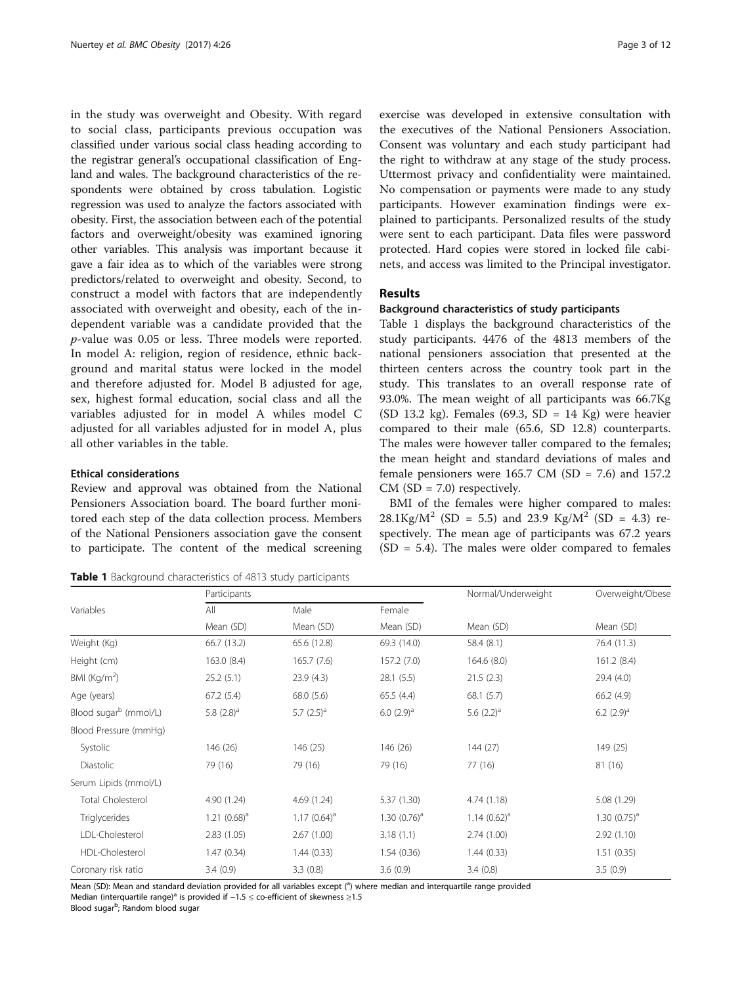in the study was overweight and Obesity. With regard to social class, participants previous occupation was classified under various social class heading according to the registrar general's occupational classification of England and wales. The background characteristics of the respondents were obtained by cross tabulation. Logistic regression was used to analyze the factors associated with obesity. First, the association between each of the potential factors and overweight/obesity was examined ignoring other variables. This analysis was important because it gave a fair idea as to which of the variables were strong predictors/related to overweight and obesity. Second, to construct a model with factors that are independently associated with overweight and obesity, each of the independent variable was a candidate provided that the p-value was 0.05 or less. Three models were reported. In model A: religion, region of residence, ethnic background and marital status were locked in the model and therefore adjusted for. Model B adjusted for age, sex, highest formal education, social class and all the variables adjusted for in model A whiles model C adjusted for all variables adjusted for in model A, plus all other variables in the table.

#### Ethical considerations

Review and approval was obtained from the National Pensioners Association board. The board further monitored each step of the data collection process. Members of the National Pensioners association gave the consent to participate. The content of the medical screening

|  | Table 1 Background characteristics of 4813 study participants |  |
|--|---------------------------------------------------------------|--|
|--|---------------------------------------------------------------|--|

exercise was developed in extensive consultation with the executives of the National Pensioners Association. Consent was voluntary and each study participant had the right to withdraw at any stage of the study process. Uttermost privacy and confidentiality were maintained. No compensation or payments were made to any study participants. However examination findings were explained to participants. Personalized results of the study were sent to each participant. Data files were password protected. Hard copies were stored in locked file cabinets, and access was limited to the Principal investigator.

# Results

# Background characteristics of study participants

Table 1 displays the background characteristics of the study participants. 4476 of the 4813 members of the national pensioners association that presented at the thirteen centers across the country took part in the study. This translates to an overall response rate of 93.0%. The mean weight of all participants was 66.7Kg (SD 13.2 kg). Females (69.3, SD = 14 Kg) were heavier compared to their male (65.6, SD 12.8) counterparts. The males were however taller compared to the females; the mean height and standard deviations of males and female pensioners were  $165.7$  CM (SD = 7.6) and  $157.2$  $CM (SD = 7.0)$  respectively.

BMI of the females were higher compared to males:  $28.1\text{Kg/M}^2$  (SD = 5.5) and 23.9 Kg/M<sup>2</sup> (SD = 4.3) respectively. The mean age of participants was 67.2 years  $(SD = 5.4)$ . The males were older compared to females

|                                   | Participants    |                |                 | Normal/Underweight | Overweight/Obese  |
|-----------------------------------|-----------------|----------------|-----------------|--------------------|-------------------|
| Variables                         | All             | Male           | Female          |                    |                   |
|                                   | Mean (SD)       | Mean (SD)      | Mean (SD)       | Mean (SD)          | Mean (SD)         |
| Weight (Kg)                       | 66.7 (13.2)     | 65.6 (12.8)    | 69.3 (14.0)     | 58.4 (8.1)         | 76.4 (11.3)       |
| Height (cm)                       | 163.0(8.4)      | 165.7 (7.6)    | 157.2 (7.0)     | 164.6 (8.0)        | 161.2(8.4)        |
| BMI $(Kq/m2)$                     | 25.2(5.1)       | 23.9(4.3)      | 28.1(5.5)       | 21.5(2.3)          | 29.4 (4.0)        |
| Age (years)                       | 67.2(5.4)       | 68.0 (5.6)     | 65.5(4.4)       | 68.1(5.7)          | 66.2 (4.9)        |
| Blood sugar <sup>b</sup> (mmol/L) | 5.8 $(2.8)^a$   | 5.7 $(2.5)^a$  | 6.0 $(2.9)^a$   | 5.6 $(2.2)^a$      | 6.2 $(2.9)^a$     |
| Blood Pressure (mmHg)             |                 |                |                 |                    |                   |
| Systolic                          | 146 (26)        | 146 (25)       | 146 (26)        | 144(27)            | 149 (25)          |
| Diastolic                         | 79 (16)         | 79 (16)        | 79 (16)         | 77 (16)            | 81 (16)           |
| Serum Lipids (mmol/L)             |                 |                |                 |                    |                   |
| <b>Total Cholesterol</b>          | 4.90 (1.24)     | 4.69(1.24)     | 5.37 (1.30)     | 4.74(1.18)         | 5.08 (1.29)       |
| Triglycerides                     | 1.21 $(0.68)^a$ | $1.17(0.64)^a$ | 1.30 $(0.76)^a$ | 1.14 $(0.62)^a$    | 1.30 $(0.75)^{a}$ |
| LDL-Cholesterol                   | 2.83(1.05)      | 2.67(1.00)     | 3.18(1.1)       | 2.74(1.00)         | 2.92(1.10)        |
| HDL-Cholesterol                   | 1.47(0.34)      | 1.44(0.33)     | 1.54(0.36)      | 1.44(0.33)         | 1.51(0.35)        |
| Coronary risk ratio               | 3.4(0.9)        | 3.3(0.8)       | 3.6(0.9)        | 3.4(0.8)           | 3.5(0.9)          |

Mean (SD): Mean and standard deviation provided for all variables except (<sup>a</sup>) where median and interquartile range provided Median (interquartile range)<sup>a</sup> is provided if −1.5 ≤ co-efficient of skewness ≥1.5 Blood sugar<sup>b</sup>; Random blood sugar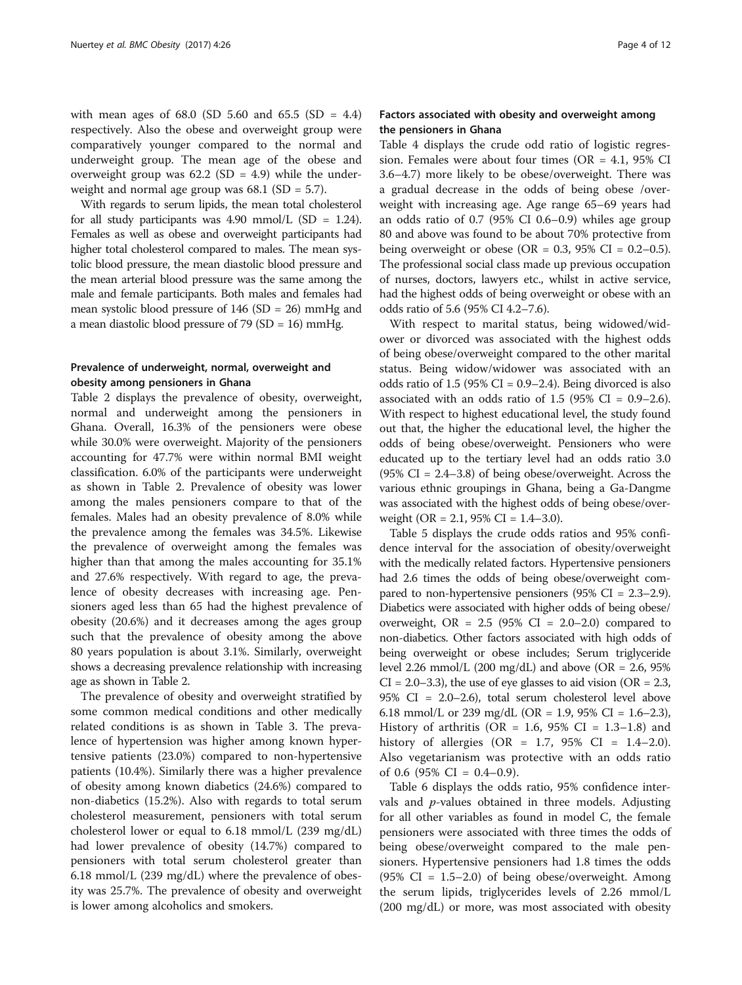with mean ages of 68.0 (SD 5.60 and 65.5 (SD = 4.4) respectively. Also the obese and overweight group were comparatively younger compared to the normal and underweight group. The mean age of the obese and overweight group was  $62.2$  (SD = 4.9) while the underweight and normal age group was  $68.1$  (SD = 5.7).

With regards to serum lipids, the mean total cholesterol for all study participants was 4.90 mmol/L  $(SD = 1.24)$ . Females as well as obese and overweight participants had higher total cholesterol compared to males. The mean systolic blood pressure, the mean diastolic blood pressure and the mean arterial blood pressure was the same among the male and female participants. Both males and females had mean systolic blood pressure of 146 (SD = 26) mmHg and a mean diastolic blood pressure of  $79$  (SD = 16) mmHg.

# Prevalence of underweight, normal, overweight and obesity among pensioners in Ghana

Table [2](#page-4-0) displays the prevalence of obesity, overweight, normal and underweight among the pensioners in Ghana. Overall, 16.3% of the pensioners were obese while 30.0% were overweight. Majority of the pensioners accounting for 47.7% were within normal BMI weight classification. 6.0% of the participants were underweight as shown in Table [2.](#page-4-0) Prevalence of obesity was lower among the males pensioners compare to that of the females. Males had an obesity prevalence of 8.0% while the prevalence among the females was 34.5%. Likewise the prevalence of overweight among the females was higher than that among the males accounting for 35.1% and 27.6% respectively. With regard to age, the prevalence of obesity decreases with increasing age. Pensioners aged less than 65 had the highest prevalence of obesity (20.6%) and it decreases among the ages group such that the prevalence of obesity among the above 80 years population is about 3.1%. Similarly, overweight shows a decreasing prevalence relationship with increasing age as shown in Table [2](#page-4-0).

The prevalence of obesity and overweight stratified by some common medical conditions and other medically related conditions is as shown in Table [3.](#page-5-0) The prevalence of hypertension was higher among known hypertensive patients (23.0%) compared to non-hypertensive patients (10.4%). Similarly there was a higher prevalence of obesity among known diabetics (24.6%) compared to non-diabetics (15.2%). Also with regards to total serum cholesterol measurement, pensioners with total serum cholesterol lower or equal to 6.18 mmol/L (239 mg/dL) had lower prevalence of obesity (14.7%) compared to pensioners with total serum cholesterol greater than 6.18 mmol/L (239 mg/dL) where the prevalence of obesity was 25.7%. The prevalence of obesity and overweight is lower among alcoholics and smokers.

# Factors associated with obesity and overweight among the pensioners in Ghana

Table [4](#page-6-0) displays the crude odd ratio of logistic regression. Females were about four times (OR = 4.1, 95% CI 3.6–4.7) more likely to be obese/overweight. There was a gradual decrease in the odds of being obese /overweight with increasing age. Age range 65–69 years had an odds ratio of 0.7 (95% CI 0.6–0.9) whiles age group 80 and above was found to be about 70% protective from being overweight or obese (OR =  $0.3$ ,  $95\%$  CI =  $0.2-0.5$ ). The professional social class made up previous occupation of nurses, doctors, lawyers etc., whilst in active service, had the highest odds of being overweight or obese with an odds ratio of 5.6 (95% CI 4.2–7.6).

With respect to marital status, being widowed/widower or divorced was associated with the highest odds of being obese/overweight compared to the other marital status. Being widow/widower was associated with an odds ratio of  $1.5$  (95% CI = 0.9–2.4). Being divorced is also associated with an odds ratio of  $1.5$  (95% CI = 0.9–2.6). With respect to highest educational level, the study found out that, the higher the educational level, the higher the odds of being obese/overweight. Pensioners who were educated up to the tertiary level had an odds ratio 3.0 (95% CI = 2.4–3.8) of being obese/overweight. Across the various ethnic groupings in Ghana, being a Ga-Dangme was associated with the highest odds of being obese/overweight (OR = 2.1, 95% CI =  $1.4-3.0$ ).

Table [5](#page-7-0) displays the crude odds ratios and 95% confidence interval for the association of obesity/overweight with the medically related factors. Hypertensive pensioners had 2.6 times the odds of being obese/overweight compared to non-hypertensive pensioners (95% CI = 2.3–2.9). Diabetics were associated with higher odds of being obese/ overweight,  $OR = 2.5$  (95%  $CI = 2.0-2.0$ ) compared to non-diabetics. Other factors associated with high odds of being overweight or obese includes; Serum triglyceride level 2.26 mmol/L (200 mg/dL) and above (OR = 2.6, 95%)  $CI = 2.0-3.3$ , the use of eye glasses to aid vision (OR = 2.3, 95% CI = 2.0–2.6), total serum cholesterol level above 6.18 mmol/L or 239 mg/dL (OR = 1.9, 95% CI = 1.6–2.3), History of arthritis (OR = 1.6,  $95\%$  CI = 1.3–1.8) and history of allergies (OR =  $1.7$ ,  $95\%$  CI =  $1.4-2.0$ ). Also vegetarianism was protective with an odds ratio of 0.6 (95% CI =  $0.4-0.9$ ).

Table [6](#page-9-0) displays the odds ratio, 95% confidence intervals and p-values obtained in three models. Adjusting for all other variables as found in model C, the female pensioners were associated with three times the odds of being obese/overweight compared to the male pensioners. Hypertensive pensioners had 1.8 times the odds  $(95\% \text{ CI} = 1.5-2.0)$  of being obese/overweight. Among the serum lipids, triglycerides levels of 2.26 mmol/L (200 mg/dL) or more, was most associated with obesity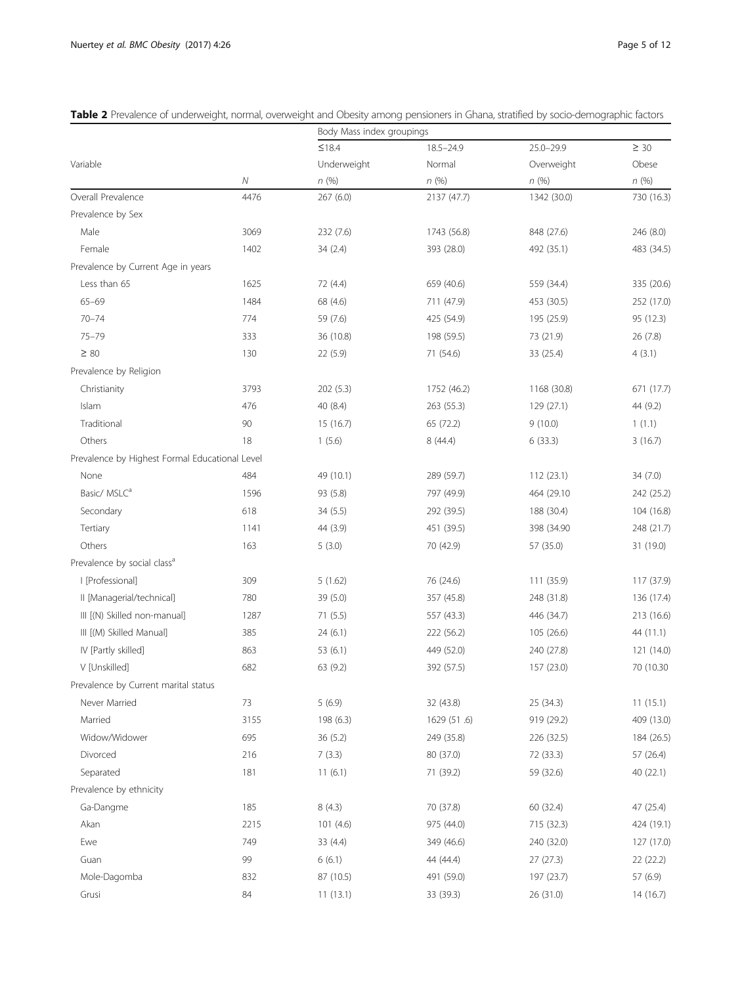|                                                |      | Body Mass index groupings |               |               |            |  |
|------------------------------------------------|------|---------------------------|---------------|---------------|------------|--|
|                                                |      | ≤18.4                     | $18.5 - 24.9$ | $25.0 - 29.9$ | $\geq 30$  |  |
| Variable                                       |      | Underweight               | Normal        | Overweight    | Obese      |  |
|                                                | Ν    | n(%)                      | n(%)          | n(%)          | n(%)       |  |
| Overall Prevalence                             | 4476 | 267 (6.0)                 | 2137 (47.7)   | 1342 (30.0)   | 730 (16.3) |  |
| Prevalence by Sex                              |      |                           |               |               |            |  |
| Male                                           | 3069 | 232 (7.6)                 | 1743 (56.8)   | 848 (27.6)    | 246 (8.0)  |  |
| Female                                         | 1402 | 34 (2.4)                  | 393 (28.0)    | 492 (35.1)    | 483 (34.5) |  |
| Prevalence by Current Age in years             |      |                           |               |               |            |  |
| Less than 65                                   | 1625 | 72 (4.4)                  | 659 (40.6)    | 559 (34.4)    | 335 (20.6) |  |
| $65 - 69$                                      | 1484 | 68 (4.6)                  | 711 (47.9)    | 453 (30.5)    | 252 (17.0) |  |
| $70 - 74$                                      | 774  | 59 (7.6)                  | 425 (54.9)    | 195 (25.9)    | 95 (12.3)  |  |
| $75 - 79$                                      | 333  | 36 (10.8)                 | 198 (59.5)    | 73 (21.9)     | 26(7.8)    |  |
| $\geq$ 80                                      | 130  | 22 (5.9)                  | 71 (54.6)     | 33 (25.4)     | 4(3.1)     |  |
| Prevalence by Religion                         |      |                           |               |               |            |  |
| Christianity                                   | 3793 | 202 (5.3)                 | 1752 (46.2)   | 1168 (30.8)   | 671 (17.7) |  |
| Islam                                          | 476  | 40 (8.4)                  | 263 (55.3)    | 129 (27.1)    | 44 (9.2)   |  |
| Traditional                                    | 90   | 15(16.7)                  | 65 (72.2)     | 9(10.0)       | 1(1.1)     |  |
| Others                                         | 18   | 1(5.6)                    | 8 (44.4)      | 6(33.3)       | 3(16.7)    |  |
| Prevalence by Highest Formal Educational Level |      |                           |               |               |            |  |
| None                                           | 484  | 49 (10.1)                 | 289 (59.7)    | 112(23.1)     | 34 (7.0)   |  |
| Basic/MSLC <sup>a</sup>                        | 1596 | 93 (5.8)                  | 797 (49.9)    | 464 (29.10    | 242 (25.2) |  |
| Secondary                                      | 618  | 34(5.5)                   | 292 (39.5)    | 188 (30.4)    | 104 (16.8) |  |
| Tertiary                                       | 1141 | 44 (3.9)                  | 451 (39.5)    | 398 (34.90)   | 248 (21.7) |  |
| Others                                         | 163  | 5(3.0)                    | 70 (42.9)     | 57 (35.0)     | 31 (19.0)  |  |
| Prevalence by social class <sup>a</sup>        |      |                           |               |               |            |  |
| I [Professional]                               | 309  | 5(1.62)                   | 76 (24.6)     | 111 (35.9)    | 117 (37.9) |  |
| II [Managerial/technical]                      | 780  | 39 (5.0)                  | 357 (45.8)    | 248 (31.8)    | 136 (17.4) |  |
| III [(N) Skilled non-manual]                   | 1287 | 71(5.5)                   | 557 (43.3)    | 446 (34.7)    | 213 (16.6) |  |
| III [(M) Skilled Manual]                       | 385  | 24(6.1)                   | 222 (56.2)    | 105(26.6)     | 44 (11.1)  |  |
| IV [Partly skilled]                            | 863  | 53 (6.1)                  | 449 (52.0)    | 240 (27.8)    | 121 (14.0) |  |
| V [Unskilled]                                  | 682  | 63 (9.2)                  | 392 (57.5)    | 157 (23.0)    | 70 (10.30  |  |
| Prevalence by Current marital status           |      |                           |               |               |            |  |
| Never Married                                  | 73   | 5(6.9)                    | 32 (43.8)     | 25 (34.3)     | 11(15.1)   |  |
| Married                                        | 3155 | 198 (6.3)                 | 1629 (51.6)   | 919 (29.2)    | 409 (13.0) |  |
| Widow/Widower                                  | 695  | 36(5.2)                   | 249 (35.8)    | 226 (32.5)    | 184 (26.5) |  |
| Divorced                                       | 216  | 7(3.3)                    | 80 (37.0)     | 72 (33.3)     | 57 (26.4)  |  |
| Separated                                      | 181  | 11(6.1)                   | 71 (39.2)     | 59 (32.6)     | 40 (22.1)  |  |
| Prevalence by ethnicity                        |      |                           |               |               |            |  |
| Ga-Dangme                                      | 185  | 8(4.3)                    | 70 (37.8)     | 60 (32.4)     | 47 (25.4)  |  |
| Akan                                           | 2215 | 101(4.6)                  | 975 (44.0)    | 715 (32.3)    | 424 (19.1) |  |
| Ewe                                            | 749  | 33 (4.4)                  | 349 (46.6)    | 240 (32.0)    | 127 (17.0) |  |
| Guan                                           | 99   | 6(6.1)                    | 44 (44.4)     | 27(27.3)      | 22 (22.2)  |  |
| Mole-Dagomba                                   | 832  | 87 (10.5)                 | 491 (59.0)    | 197 (23.7)    | 57 (6.9)   |  |
| Grusi                                          | 84   | 11(13.1)                  | 33 (39.3)     | 26 (31.0)     | 14 (16.7)  |  |

<span id="page-4-0"></span>Table 2 Prevalence of underweight, normal, overweight and Obesity among pensioners in Ghana, stratified by socio-demographic factors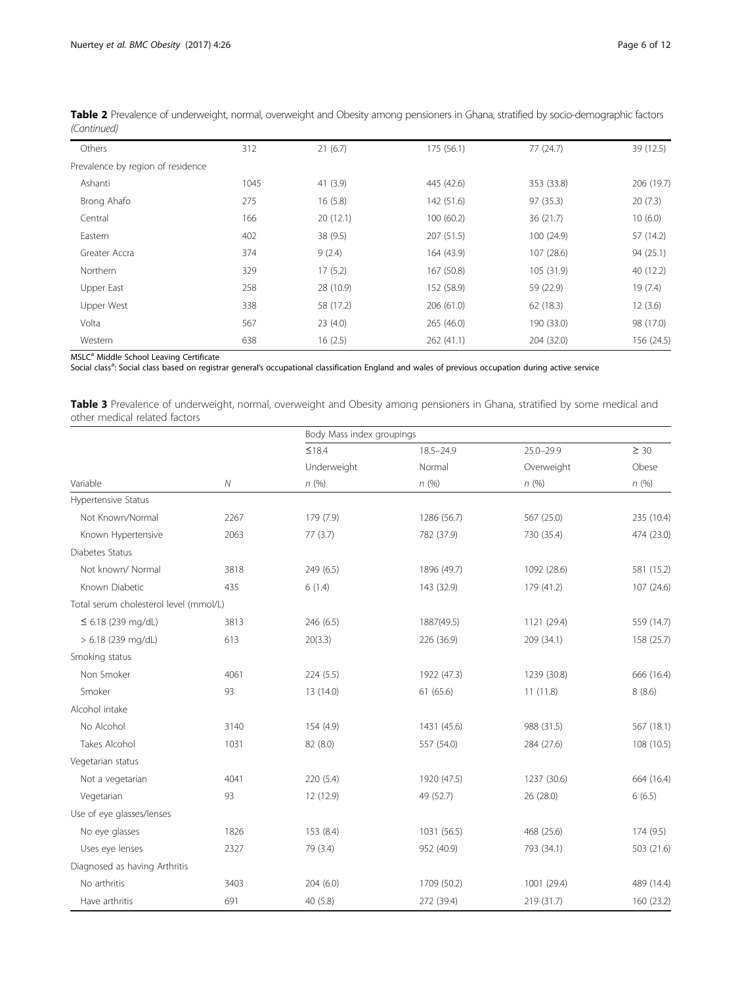| Others                            | 312  | 21(6.7)   | 175 (56.1) | 77(24.7)   | 39 (12.5)  |
|-----------------------------------|------|-----------|------------|------------|------------|
| Prevalence by region of residence |      |           |            |            |            |
| Ashanti                           | 1045 | 41(3.9)   | 445 (42.6) | 353 (33.8) | 206 (19.7) |
| Brong Ahafo                       | 275  | 16(5.8)   | 142 (51.6) | 97(35.3)   | 20(7.3)    |
| Central                           | 166  | 20(12.1)  | 100(60.2)  | 36(21.7)   | 10(6.0)    |
| Eastern                           | 402  | 38 (9.5)  | 207(51.5)  | 100(24.9)  | 57 (14.2)  |
| Greater Accra                     | 374  | 9(2.4)    | 164 (43.9) | 107 (28.6) | 94 (25.1)  |
| Northern                          | 329  | 17(5.2)   | 167 (50.8) | 105 (31.9) | 40 (12.2)  |
| Upper East                        | 258  | 28 (10.9) | 152 (58.9) | 59 (22.9)  | 19(7.4)    |
| Upper West                        | 338  | 58 (17.2) | 206 (61.0) | 62(18.3)   | 12(3.6)    |
| Volta                             | 567  | 23(4.0)   | 265(46.0)  | 190 (33.0) | 98 (17.0)  |
| Western                           | 638  | 16(2.5)   | 262(41.1)  | 204 (32.0) | 156 (24.5) |

<span id="page-5-0"></span>Table 2 Prevalence of underweight, normal, overweight and Obesity among pensioners in Ghana, stratified by socio-demographic factors (Continued)

MSLC<sup>a</sup> Middle School Leaving Certificate

Social class<sup>a</sup>: Social class based on registrar general's occupational classification England and wales of previous occupation during active service

Table 3 Prevalence of underweight, normal, overweight and Obesity among pensioners in Ghana, stratified by some medical and other medical related factors

|                                        |            | Body Mass index groupings |               |               |            |
|----------------------------------------|------------|---------------------------|---------------|---------------|------------|
|                                        |            | $\leq$ 18.4               | $18.5 - 24.9$ | $25.0 - 29.9$ | $\geq 30$  |
|                                        |            | Underweight               | Normal        | Overweight    | Obese      |
| Variable                               | ${\cal N}$ | n(%)                      | n(%)          | n(%)          | n(%)       |
| Hypertensive Status                    |            |                           |               |               |            |
| Not Known/Normal                       | 2267       | 179 (7.9)                 | 1286 (56.7)   | 567 (25.0)    | 235 (10.4) |
| Known Hypertensive                     | 2063       | 77(3.7)                   | 782 (37.9)    | 730 (35.4)    | 474 (23.0) |
| Diabetes Status                        |            |                           |               |               |            |
| Not known/ Normal                      | 3818       | 249(6.5)                  | 1896 (49.7)   | 1092 (28.6)   | 581 (15.2) |
| Known Diabetic                         | 435        | 6(1.4)                    | 143 (32.9)    | 179 (41.2)    | 107 (24.6) |
| Total serum cholesterol level (mmol/L) |            |                           |               |               |            |
| $\leq$ 6.18 (239 mg/dL)                | 3813       | 246 (6.5)                 | 1887(49.5)    | 1121 (29.4)   | 559 (14.7) |
| $> 6.18$ (239 mg/dL)                   | 613        | 20(3.3)                   | 226 (36.9)    | 209 (34.1)    | 158 (25.7) |
| Smoking status                         |            |                           |               |               |            |
| Non Smoker                             | 4061       | 224(5.5)                  | 1922 (47.3)   | 1239 (30.8)   | 666 (16.4) |
| Smoker                                 | 93         | 13 (14.0)                 | 61 (65.6)     | 11(11.8)      | 8(8.6)     |
| Alcohol intake                         |            |                           |               |               |            |
| No Alcohol                             | 3140       | 154 (4.9)                 | 1431 (45.6)   | 988 (31.5)    | 567 (18.1) |
| Takes Alcohol                          | 1031       | 82 (8.0)                  | 557 (54.0)    | 284 (27.6)    | 108 (10.5) |
| Vegetarian status                      |            |                           |               |               |            |
| Not a vegetarian                       | 4041       | 220(5.4)                  | 1920 (47.5)   | 1237 (30.6)   | 664 (16.4) |
| Vegetarian                             | 93         | 12 (12.9)                 | 49 (52.7)     | 26 (28.0)     | 6(6.5)     |
| Use of eye glasses/lenses              |            |                           |               |               |            |
| No eye glasses                         | 1826       | 153 (8.4)                 | 1031 (56.5)   | 468 (25.6)    | 174(9.5)   |
| Uses eye lenses                        | 2327       | 79 (3.4)                  | 952 (40.9)    | 793 (34.1)    | 503 (21.6) |
| Diagnosed as having Arthritis          |            |                           |               |               |            |
| No arthritis                           | 3403       | 204(6.0)                  | 1709 (50.2)   | 1001 (29.4)   | 489 (14.4) |
| Have arthritis                         | 691        | 40 (5.8)                  | 272 (39.4)    | 219 (31.7)    | 160 (23.2) |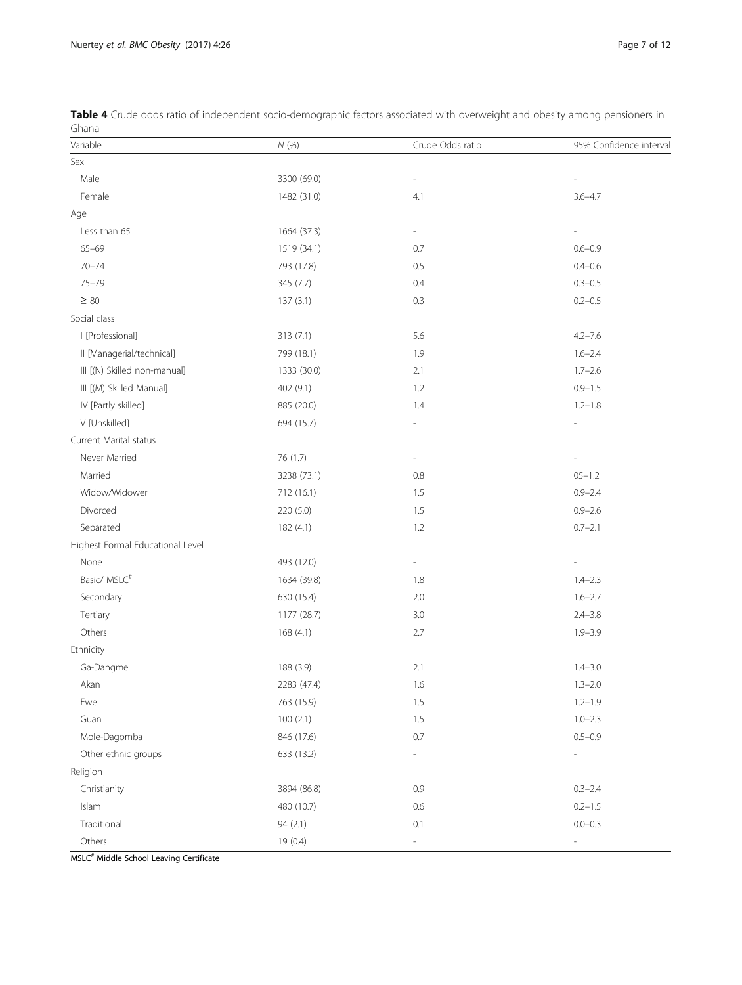| Variable                         | N(%)        | Crude Odds ratio         | 95% Confidence interval |
|----------------------------------|-------------|--------------------------|-------------------------|
| Sex                              |             |                          |                         |
| Male                             | 3300 (69.0) |                          |                         |
| Female                           | 1482 (31.0) | 4.1                      | $3.6 - 4.7$             |
| Age                              |             |                          |                         |
| Less than 65                     | 1664 (37.3) | $\frac{1}{2}$            |                         |
| $65 - 69$                        | 1519 (34.1) | 0.7                      | $0.6 - 0.9$             |
| $70 - 74$                        | 793 (17.8)  | 0.5                      | $0.4 - 0.6$             |
| $75 - 79$                        | 345 (7.7)   | 0.4                      | $0.3 - 0.5$             |
| $\geq 80$                        | 137(3.1)    | 0.3                      | $0.2 - 0.5$             |
| Social class                     |             |                          |                         |
| [Professional]                   | 313(7.1)    | 5.6                      | $4.2 - 7.6$             |
| II [Managerial/technical]        | 799 (18.1)  | 1.9                      | $1.6 - 2.4$             |
| III [(N) Skilled non-manual]     | 1333 (30.0) | 2.1                      | $1.7 - 2.6$             |
| III [(M) Skilled Manual]         | 402 (9.1)   | 1.2                      | $0.9 - 1.5$             |
| IV [Partly skilled]              | 885 (20.0)  | 1.4                      | $1.2 - 1.8$             |
| V [Unskilled]                    | 694 (15.7)  | Ĭ.                       | $\overline{a}$          |
| Current Marital status           |             |                          |                         |
| Never Married                    | 76 (1.7)    | $\overline{\phantom{a}}$ |                         |
| Married                          | 3238 (73.1) | 0.8                      | $05 - 1.2$              |
| Widow/Widower                    | 712 (16.1)  | 1.5                      | $0.9 - 2.4$             |
| Divorced                         | 220 (5.0)   | 1.5                      | $0.9 - 2.6$             |
| Separated                        | 182(4.1)    | 1.2                      | $0.7 - 2.1$             |
| Highest Formal Educational Level |             |                          |                         |
| None                             | 493 (12.0)  | $\overline{\phantom{0}}$ |                         |
| Basic/MSLC <sup>#</sup>          | 1634 (39.8) | 1.8                      | $1.4 - 2.3$             |
| Secondary                        | 630 (15.4)  | 2.0                      | $1.6 - 2.7$             |
| Tertiary                         | 1177 (28.7) | 3.0                      | $2.4 - 3.8$             |
| Others                           | 168(4.1)    | 2.7                      | $1.9 - 3.9$             |
| Ethnicity                        |             |                          |                         |
| Ga-Dangme                        | 188 (3.9)   | 2.1                      | $1.4 - 3.0$             |
| Akan                             | 2283 (47.4) | 1.6                      | $1.3 - 2.0$             |
| Ewe                              | 763 (15.9)  | $1.5\,$                  | $1.2 - 1.9$             |
| Guan                             | 100(2.1)    | 1.5                      | $1.0 - 2.3$             |
| Mole-Dagomba                     | 846 (17.6)  | 0.7                      | $0.5 - 0.9$             |
| Other ethnic groups              | 633 (13.2)  | $\frac{1}{2}$            |                         |
| Religion                         |             |                          |                         |
| Christianity                     | 3894 (86.8) | 0.9                      | $0.3 - 2.4$             |
| Islam                            | 480 (10.7)  | 0.6                      | $0.2 - 1.5$             |
| Traditional                      | 94 (2.1)    | 0.1                      | $0.0 - 0.3$             |
| Others                           | 19 (0.4)    | $\overline{\phantom{a}}$ | $\sim$                  |

<span id="page-6-0"></span>Table 4 Crude odds ratio of independent socio-demographic factors associated with overweight and obesity among pensioners in Ghana

MSLC# Middle School Leaving Certificate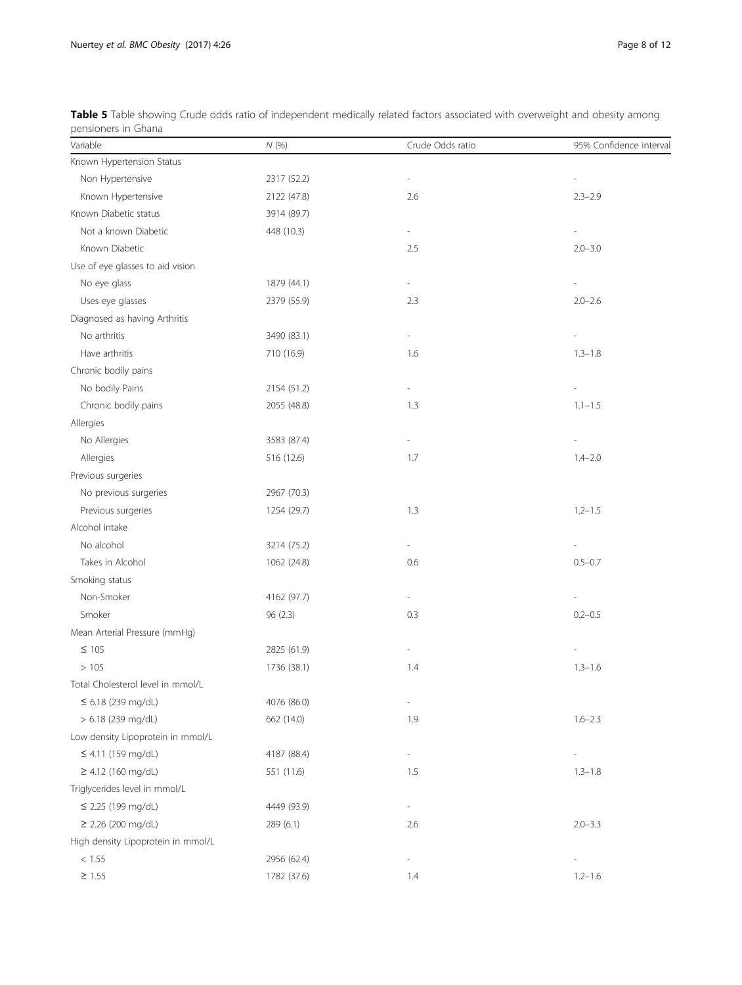| Variable                           | N(%)        | Crude Odds ratio         | 95% Confidence interva   |
|------------------------------------|-------------|--------------------------|--------------------------|
| Known Hypertension Status          |             |                          |                          |
| Non Hypertensive                   | 2317 (52.2) | $\overline{\phantom{a}}$ | $\overline{a}$           |
| Known Hypertensive                 | 2122 (47.8) | 2.6                      | $2.3 - 2.9$              |
| Known Diabetic status              | 3914 (89.7) |                          |                          |
| Not a known Diabetic               | 448 (10.3)  | $\overline{\phantom{a}}$ | $\frac{1}{2}$            |
| Known Diabetic                     |             | 2.5                      | $2.0 - 3.0$              |
| Use of eye glasses to aid vision   |             |                          |                          |
| No eye glass                       | 1879 (44.1) | $\overline{\phantom{a}}$ | $\overline{\phantom{m}}$ |
| Uses eye glasses                   | 2379 (55.9) | 2.3                      | $2.0 - 2.6$              |
| Diagnosed as having Arthritis      |             |                          |                          |
| No arthritis                       | 3490 (83.1) | $\overline{\phantom{a}}$ | $\frac{1}{2}$            |
| Have arthritis                     | 710 (16.9)  | 1.6                      | $1.3 - 1.8$              |
| Chronic bodily pains               |             |                          |                          |
| No bodily Pains                    | 2154 (51.2) | $\overline{\phantom{a}}$ | $\frac{1}{2}$            |
| Chronic bodily pains               | 2055 (48.8) | 1.3                      | $1.1 - 1.5$              |
| Allergies                          |             |                          |                          |
| No Allergies                       | 3583 (87.4) | $\overline{\phantom{a}}$ | $\overline{\phantom{m}}$ |
| Allergies                          | 516 (12.6)  | 1.7                      | $1.4 - 2.0$              |
| Previous surgeries                 |             |                          |                          |
| No previous surgeries              | 2967 (70.3) |                          |                          |
| Previous surgeries                 | 1254 (29.7) | 1.3                      | $1.2 - 1.5$              |
| Alcohol intake                     |             |                          |                          |
| No alcohol                         | 3214 (75.2) | $\overline{\phantom{a}}$ | $\overline{\phantom{0}}$ |
| Takes in Alcohol                   | 1062 (24.8) | 0.6                      | $0.5 - 0.7$              |
| Smoking status                     |             |                          |                          |
| Non-Smoker                         | 4162 (97.7) | $\frac{1}{2}$            | $\overline{\phantom{0}}$ |
| Smoker                             | 96 (2.3)    | 0.3                      | $0.2 - 0.5$              |
| Mean Arterial Pressure (mmHg)      |             |                          |                          |
| $\leq 105$                         | 2825 (61.9) | $\overline{\phantom{a}}$ | ÷.                       |
| >105                               | 1736 (38.1) | 1.4                      | $1.3 - 1.6$              |
| Total Cholesterol level in mmol/L  |             |                          |                          |
| $\leq$ 6.18 (239 mg/dL)            | 4076 (86.0) | $\overline{\phantom{a}}$ |                          |
| > 6.18 (239 mg/dL)                 | 662 (14.0)  | 1.9                      | $1.6 - 2.3$              |
| Low density Lipoprotein in mmol/L  |             |                          |                          |
| $\leq 4.11$ (159 mg/dL)            | 4187 (88.4) | $\overline{\phantom{a}}$ | $\overline{a}$           |
| $\geq 4.12$ (160 mg/dL)            | 551 (11.6)  | 1.5                      | $1.3 - 1.8$              |
| Triglycerides level in mmol/L      |             |                          |                          |
| ≤ 2.25 (199 mg/dL)                 | 4449 (93.9) | $\overline{\phantom{a}}$ |                          |
| ≥ 2.26 (200 mg/dL)                 | 289 (6.1)   | 2.6                      | $2.0 - 3.3$              |
| High density Lipoprotein in mmol/L |             |                          |                          |
| < 1.55                             | 2956 (62.4) | L,                       | L,                       |
| $\geq$ 1.55                        | 1782 (37.6) | 1.4                      | $1.2 - 1.6$              |

<span id="page-7-0"></span>Table 5 Table showing Crude odds ratio of independent medically related factors associated with overweight and obesity among pensioners in Ghana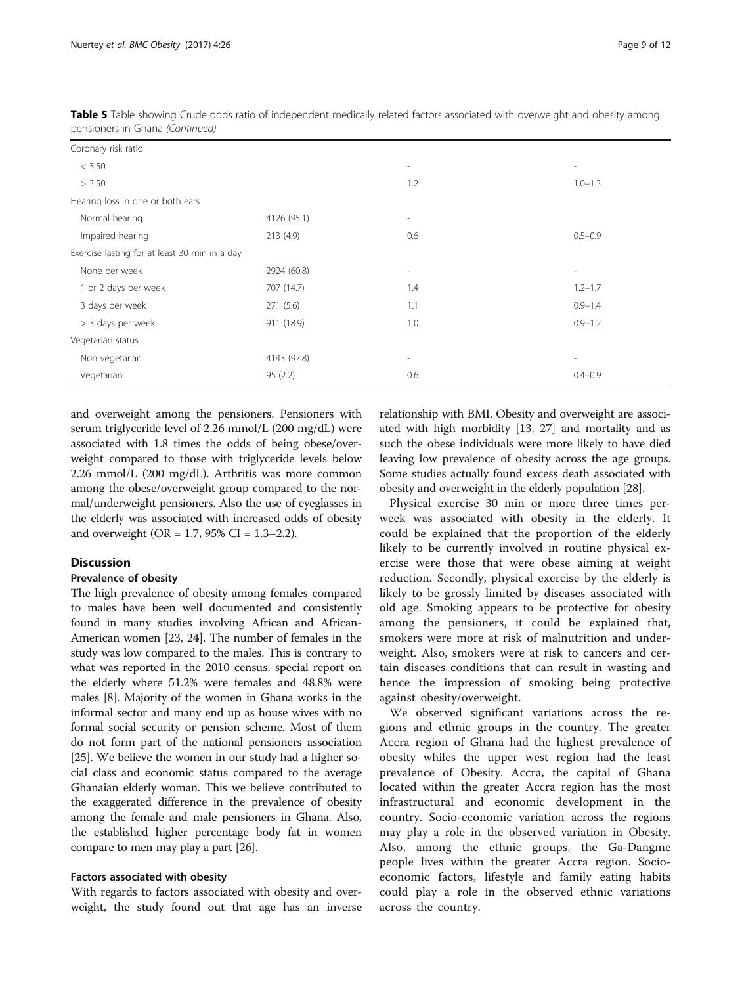| Coronary risk ratio                           |             |                          |                          |
|-----------------------------------------------|-------------|--------------------------|--------------------------|
| < 3.50                                        |             | $\overline{\phantom{a}}$ | $\overline{a}$           |
| > 3.50                                        |             | 1.2                      | $1.0 - 1.3$              |
| Hearing loss in one or both ears              |             |                          |                          |
| Normal hearing                                | 4126 (95.1) | $\sim$                   |                          |
| Impaired hearing                              | 213(4.9)    | 0.6                      | $0.5 - 0.9$              |
| Exercise lasting for at least 30 min in a day |             |                          |                          |
| None per week                                 | 2924 (60.8) | $\overline{\phantom{a}}$ | $\overline{\phantom{0}}$ |
| 1 or 2 days per week                          | 707 (14.7)  | 1.4                      | $1.2 - 1.7$              |
| 3 days per week                               | 271(5.6)    | 1.1                      | $0.9 - 1.4$              |
| > 3 days per week                             | 911 (18.9)  | 1.0                      | $0.9 - 1.2$              |
| Vegetarian status                             |             |                          |                          |
| Non vegetarian                                | 4143 (97.8) | $\sim$                   | $\overline{\phantom{a}}$ |
| Vegetarian                                    | 95(2.2)     | 0.6                      | $0.4 - 0.9$              |

Table 5 Table showing Crude odds ratio of independent medically related factors associated with overweight and obesity among pensioners in Ghana (Continued)

and overweight among the pensioners. Pensioners with serum triglyceride level of 2.26 mmol/L (200 mg/dL) were associated with 1.8 times the odds of being obese/overweight compared to those with triglyceride levels below 2.26 mmol/L (200 mg/dL). Arthritis was more common among the obese/overweight group compared to the normal/underweight pensioners. Also the use of eyeglasses in the elderly was associated with increased odds of obesity and overweight (OR = 1.7, 95% CI = 1.3–2.2).

# Discussion

# Prevalence of obesity

The high prevalence of obesity among females compared to males have been well documented and consistently found in many studies involving African and African-American women [\[23, 24\]](#page-11-0). The number of females in the study was low compared to the males. This is contrary to what was reported in the 2010 census, special report on the elderly where 51.2% were females and 48.8% were males [\[8](#page-11-0)]. Majority of the women in Ghana works in the informal sector and many end up as house wives with no formal social security or pension scheme. Most of them do not form part of the national pensioners association [[25](#page-11-0)]. We believe the women in our study had a higher social class and economic status compared to the average Ghanaian elderly woman. This we believe contributed to the exaggerated difference in the prevalence of obesity among the female and male pensioners in Ghana. Also, the established higher percentage body fat in women compare to men may play a part [\[26\]](#page-11-0).

# Factors associated with obesity

With regards to factors associated with obesity and overweight, the study found out that age has an inverse

relationship with BMI. Obesity and overweight are associated with high morbidity [\[13, 27](#page-11-0)] and mortality and as such the obese individuals were more likely to have died leaving low prevalence of obesity across the age groups. Some studies actually found excess death associated with obesity and overweight in the elderly population [\[28\]](#page-11-0).

Physical exercise 30 min or more three times perweek was associated with obesity in the elderly. It could be explained that the proportion of the elderly likely to be currently involved in routine physical exercise were those that were obese aiming at weight reduction. Secondly, physical exercise by the elderly is likely to be grossly limited by diseases associated with old age. Smoking appears to be protective for obesity among the pensioners, it could be explained that, smokers were more at risk of malnutrition and underweight. Also, smokers were at risk to cancers and certain diseases conditions that can result in wasting and hence the impression of smoking being protective against obesity/overweight.

We observed significant variations across the regions and ethnic groups in the country. The greater Accra region of Ghana had the highest prevalence of obesity whiles the upper west region had the least prevalence of Obesity. Accra, the capital of Ghana located within the greater Accra region has the most infrastructural and economic development in the country. Socio-economic variation across the regions may play a role in the observed variation in Obesity. Also, among the ethnic groups, the Ga-Dangme people lives within the greater Accra region. Socioeconomic factors, lifestyle and family eating habits could play a role in the observed ethnic variations across the country.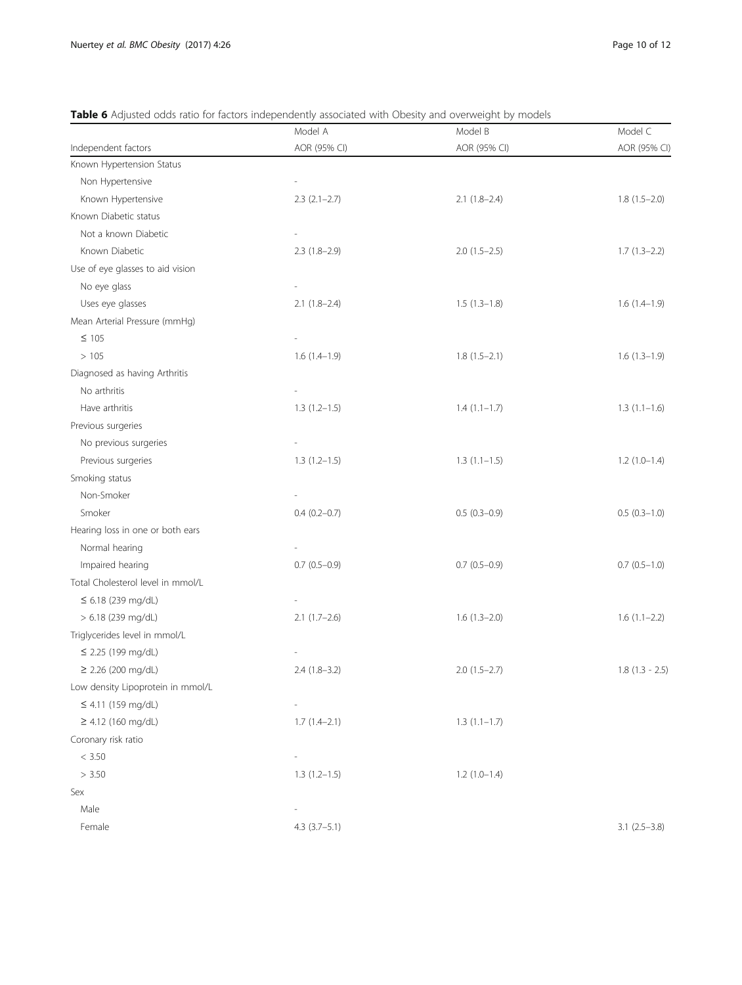# <span id="page-9-0"></span>Table 6 Adjusted odds ratio for factors independently associated with Obesity and overweight by models

|                                   | Model A                      | Model B        | Model C           |
|-----------------------------------|------------------------------|----------------|-------------------|
| Independent factors               | AOR (95% CI)                 | AOR (95% CI)   | AOR (95% CI)      |
| Known Hypertension Status         |                              |                |                   |
| Non Hypertensive                  |                              |                |                   |
| Known Hypertensive                | $2.3$ $(2.1 - 2.7)$          | $2.1(1.8-2.4)$ | $1.8(1.5-2.0)$    |
| Known Diabetic status             |                              |                |                   |
| Not a known Diabetic              | $\overline{\phantom{a}}$     |                |                   |
| Known Diabetic                    | $2.3(1.8-2.9)$               | $2.0(1.5-2.5)$ | $1.7(1.3-2.2)$    |
| Use of eye glasses to aid vision  |                              |                |                   |
| No eye glass                      |                              |                |                   |
| Uses eye glasses                  | $2.1(1.8-2.4)$               | $1.5(1.3-1.8)$ | $1.6(1.4-1.9)$    |
| Mean Arterial Pressure (mmHg)     |                              |                |                   |
| $\leq 105$                        | $\overline{\phantom{a}}$     |                |                   |
| >105                              | $1.6(1.4-1.9)$               | $1.8(1.5-2.1)$ | $1.6(1.3-1.9)$    |
| Diagnosed as having Arthritis     |                              |                |                   |
| No arthritis                      |                              |                |                   |
| Have arthritis                    | $1.3(1.2-1.5)$               | $1.4(1.1-1.7)$ | $1.3(1.1-1.6)$    |
| Previous surgeries                |                              |                |                   |
| No previous surgeries             | $\overline{\phantom{a}}$     |                |                   |
| Previous surgeries                | $1.3(1.2-1.5)$               | $1.3(1.1-1.5)$ | $1.2(1.0-1.4)$    |
| Smoking status                    |                              |                |                   |
| Non-Smoker                        |                              |                |                   |
| Smoker                            | $0.4(0.2-0.7)$               | $0.5(0.3-0.9)$ | $0.5(0.3-1.0)$    |
| Hearing loss in one or both ears  |                              |                |                   |
| Normal hearing                    | $\overline{\phantom{a}}$     |                |                   |
| Impaired hearing                  | $0.7(0.5-0.9)$               | $0.7(0.5-0.9)$ | $0.7$ $(0.5-1.0)$ |
| Total Cholesterol level in mmol/L |                              |                |                   |
| $\leq$ 6.18 (239 mg/dL)           |                              |                |                   |
| > 6.18 (239 mg/dL)                | $2.1(1.7-2.6)$               | $1.6(1.3-2.0)$ | $1.6(1.1-2.2)$    |
| Triglycerides level in mmol/L     |                              |                |                   |
| $\leq$ 2.25 (199 mg/dL)           |                              |                |                   |
| ≥ 2.26 (200 mg/dL)                | $2.4(1.8-3.2)$               | $2.0(1.5-2.7)$ | $1.8(1.3 - 2.5)$  |
| Low density Lipoprotein in mmol/L |                              |                |                   |
| $\leq 4.11$ (159 mg/dL)           | $\qquad \qquad \blacksquare$ |                |                   |
| ≥ 4.12 (160 mg/dL)                | $1.7(1.4-2.1)$               | $1.3(1.1-1.7)$ |                   |
| Coronary risk ratio               |                              |                |                   |
| < 3.50                            | $\overline{\phantom{a}}$     |                |                   |
| > 3.50                            | $1.3(1.2-1.5)$               | $1.2(1.0-1.4)$ |                   |
| Sex                               |                              |                |                   |
| Male                              | $\overline{\phantom{a}}$     |                |                   |
| Female                            | $4.3$ $(3.7-5.1)$            |                | $3.1 (2.5 - 3.8)$ |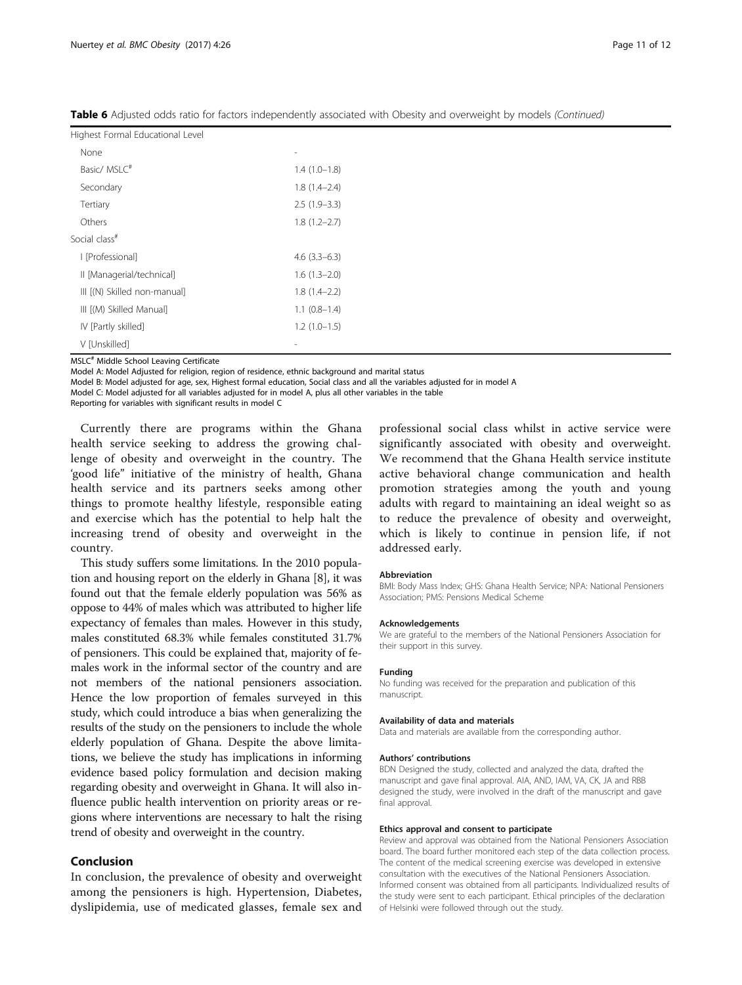| Highest Formal Educational Level |                  |
|----------------------------------|------------------|
| None                             |                  |
| Basic/MSLC <sup>#</sup>          | $1.4(1.0-1.8)$   |
| Secondary                        | $1.8(1.4-2.4)$   |
| Tertiary                         | $2.5(1.9-3.3)$   |
| Others                           | $1.8(1.2 - 2.7)$ |
| Social class <sup>#</sup>        |                  |
| [Professional]                   | $4.6(3.3-6.3)$   |
| II [Managerial/technical]        | $1.6(1.3-2.0)$   |
| III [(N) Skilled non-manual]     | $1.8(1.4-2.2)$   |
| III [(M) Skilled Manual]         | $1.1(0.8-1.4)$   |
| IV [Partly skilled]              | $1.2(1.0-1.5)$   |
| V [Unskilled]                    |                  |

Table 6 Adjusted odds ratio for factors independently associated with Obesity and overweight by models (Continued)

MSLC# Middle School Leaving Certificate

Model A: Model Adjusted for religion, region of residence, ethnic background and marital status

Model B: Model adjusted for age, sex, Highest formal education, Social class and all the variables adjusted for in model A

Model C: Model adjusted for all variables adjusted for in model A, plus all other variables in the table

Reporting for variables with significant results in model C

Currently there are programs within the Ghana health service seeking to address the growing challenge of obesity and overweight in the country. The 'good life" initiative of the ministry of health, Ghana health service and its partners seeks among other things to promote healthy lifestyle, responsible eating and exercise which has the potential to help halt the increasing trend of obesity and overweight in the country.

This study suffers some limitations. In the 2010 population and housing report on the elderly in Ghana [[8](#page-11-0)], it was found out that the female elderly population was 56% as oppose to 44% of males which was attributed to higher life expectancy of females than males. However in this study, males constituted 68.3% while females constituted 31.7% of pensioners. This could be explained that, majority of females work in the informal sector of the country and are not members of the national pensioners association. Hence the low proportion of females surveyed in this study, which could introduce a bias when generalizing the results of the study on the pensioners to include the whole elderly population of Ghana. Despite the above limitations, we believe the study has implications in informing evidence based policy formulation and decision making regarding obesity and overweight in Ghana. It will also influence public health intervention on priority areas or regions where interventions are necessary to halt the rising trend of obesity and overweight in the country.

# Conclusion

In conclusion, the prevalence of obesity and overweight among the pensioners is high. Hypertension, Diabetes, dyslipidemia, use of medicated glasses, female sex and

professional social class whilst in active service were significantly associated with obesity and overweight. We recommend that the Ghana Health service institute active behavioral change communication and health promotion strategies among the youth and young adults with regard to maintaining an ideal weight so as to reduce the prevalence of obesity and overweight, which is likely to continue in pension life, if not addressed early.

#### Abbreviation

BMI: Body Mass Index; GHS: Ghana Health Service; NPA: National Pensioners Association; PMS: Pensions Medical Scheme

#### Acknowledgements

We are grateful to the members of the National Pensioners Association for their support in this survey.

#### Funding

No funding was received for the preparation and publication of this manuscript.

#### Availability of data and materials

Data and materials are available from the corresponding author.

#### Authors' contributions

BDN Designed the study, collected and analyzed the data, drafted the manuscript and gave final approval. AIA, AND, IAM, VA, CK, JA and RBB designed the study, were involved in the draft of the manuscript and gave final approval.

#### Ethics approval and consent to participate

Review and approval was obtained from the National Pensioners Association board. The board further monitored each step of the data collection process. The content of the medical screening exercise was developed in extensive consultation with the executives of the National Pensioners Association. Informed consent was obtained from all participants. Individualized results of the study were sent to each participant. Ethical principles of the declaration of Helsinki were followed through out the study.